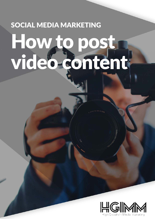# SOCIAL MEDIA MARKETING How to post video content

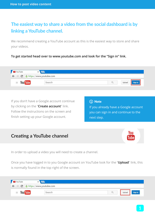## **The easiest way to share a video from the social dashboard is by linking a YouTube channel.**

We recommend creating a YouTube account as this is the easiest way to store and share your videos.

**To get started head over to www.youtube.com and look for the "Sign in" link.** 

| YouTube |   |                           |        |
|---------|---|---------------------------|--------|
|         | C | A https://www.youtube.com |        |
| ≣       |   | Search                    | Jpload |

If you don't have a Google account continue by clicking on the "**Create account**" link. Follow the instructions on the screen and finish setting up your Google account.

#### (i) Note

If you already have a Google account you can sign in and continue to the next step.

## **Creating a YouTube channel**

In order to upload a video you will need to create a channel.

Once you have logged in to you Google account on YouTube look for the "**Upload**" link, this is normally found in the top right of the screen.

| YouTube                      |                         |       |
|------------------------------|-------------------------|-------|
| $\leftarrow$ $\rightarrow$ C | https://www.youtube.com |       |
| $\equiv$                     | Search                  | Uploa |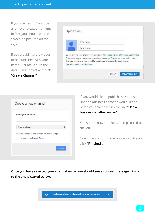If you are new to YouTube and never created a channel before you should see the screen on pictured on the right.

If you would like the videos to be published with your name, just make sure the details are correct and click **"Create Channel"**.

| First name                                                                                                                                           |  |  |
|------------------------------------------------------------------------------------------------------------------------------------------------------|--|--|
|                                                                                                                                                      |  |  |
| Last name                                                                                                                                            |  |  |
|                                                                                                                                                      |  |  |
| By clicking "Create channel", you agree to YouTube's Terms of Service. Learn more                                                                    |  |  |
| Changes that you make here may show up across Google services with content<br>that you create and share, and to people you interact with. Learn more |  |  |
|                                                                                                                                                      |  |  |

| Name your channel                          |  |
|--------------------------------------------|--|
| Select a category                          |  |
| Your new channel comes with a Google+ page |  |
| I agree to the Pages Terms                 |  |

If you would like to publish the videos under a business name or would like to name your channel click the link **"Use a business or other name"**.

You should now see the screen pictured on the left.

Select the account name you would like and click **"Finished"**.

 $\overline{\mathbf{x}}$ 

**Once you have selected your channel name you should see a success message, similar to the one pictured below.**

You have added a channel to your account!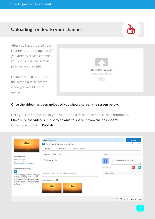## **Uploading a video to your channel**



After you have created your channel or clicked upload (if you already have a channel) you should see the screen pictured on the right.

Follow the instructions on the screen and select the video you would like to upload.

| 2 D<br>Select files to upload |  |
|-------------------------------|--|
| Or drag and drop video files  |  |
| Public <b>v</b>               |  |
|                               |  |
|                               |  |

#### **Once the video has been uploaded you should screen the screen below.**

Here you can set the title of your video, add a description and select a thumbnail.

**Make sure the video is Public to be able to share it from the dashboard.** Once done just click "**Publish**".

|                                                                                                                                                             | PROCESSING DONE                                                                                        |                   |                             | <b>Publish</b>           |
|-------------------------------------------------------------------------------------------------------------------------------------------------------------|--------------------------------------------------------------------------------------------------------|-------------------|-----------------------------|--------------------------|
|                                                                                                                                                             | Click "Publish" to make your video live.<br>$\star$<br>Translations<br>Advanced settings<br>Basic info |                   |                             | Draft saved.             |
| Upload status:                                                                                                                                              | My first YouTube video                                                                                 | Public            |                             | $\overline{\phantom{a}}$ |
| Upload complete!<br>Your video will be live at:<br>https://youtu.be/th_Dcgot8wM                                                                             | This is a short clip                                                                                   | $\frac{1}{2}$     | Add a message to your video |                          |
| Video / Audio quality:                                                                                                                                      |                                                                                                        | Also share on     |                             |                          |
| $\pmb{*}$<br>You uploaded a wide-screen (16:9) vide<br>original was 720p or greater (i.e. 1280)                                                             | Tags (e.g. Albert Einstein, flying pig, mashup)                                                        | + Add to playlist |                             |                          |
| we encourage you to <a<br>href="//support.google.com/youtube/a<br/>hl=en-GB" target="_blank"&gt;submit your<br/>original resolution to enable better</a<br> | VIDEO THUMBNAILS                                                                                       |                   |                             |                          |
| playback.                                                                                                                                                   |                                                                                                        |                   |                             |                          |
|                                                                                                                                                             |                                                                                                        |                   |                             |                          |
|                                                                                                                                                             |                                                                                                        |                   | Video Manager               | + Add more videos        |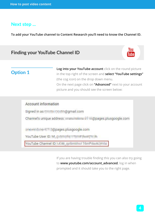### **Next step ...**

**To add your YouTube channel to Content Research you'll need to know the Channel ID.**

## **Finding your YouTube Channel ID**



## **Option 1**

**Log into your YouTube account** click on the round picture in the top right of the screen and **select "YouTube settings"** (the cog icon) on the drop down menu. On the next page click on **"Advanced"** next to your account picture and you should see the screen below:

| <b>Account information</b> |                           |                |                       |
|----------------------------|---------------------------|----------------|-----------------------|
| Signed in as               |                           | @gmail.com     |                       |
|                            | Channel's unique address: | <b>COLORIS</b> | @pages.plusgoogle.com |
|                            | a Copages.plusgoogle.com  |                |                       |
| YouTube User ID:           |                           |                |                       |

If you are having trouble finding this you can also try going to **www.youtube.com/account advanced**, log in when prompted and it should take you to the right page.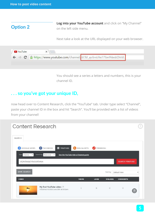## **Option 2**

**Log into your YouTube account** and click on "My Channel" on the left side menu.

Next take a look at the URL displayed on your web browser.



You should see a series a letters and numbers, this is your channel ID.

## **. . . so you've got your unique ID,**

now head over to Content Research, click the "YouTube" tab. Under type select "Channel", paste your channel ID in the box and hit "Search". You'll be provided with a list of videos from your channel!

| Content Research                                            |                                                                                            |              |               |                 |                       |   |
|-------------------------------------------------------------|--------------------------------------------------------------------------------------------|--------------|---------------|-----------------|-----------------------|---|
| <b>SEARCH</b>                                               |                                                                                            |              |               |                 |                       |   |
| 8 GOOGLE NEWS                                               | FACEBOOK<br><b>D</b> YOUTUBE                                                               | RSS/ALERTS   | TRENDING<br>ø |                 |                       |   |
| Type<br>Channel<br>$\mathbf{v}$<br>UCjhVCkoVpCVSs5JUlfSxhbA | Search by<br>Relevance<br>See the YouTube Add a Channel quide<br>$\boldsymbol{\mathrm{v}}$ |              |               |                 | <b>SEARCH YOUTUBE</b> |   |
| <b>SAVE SEARCH</b>                                          |                                                                                            |              |               | Sort by         | Default View          |   |
| <b>VIDEO</b>                                                |                                                                                            | <b>VIEWS</b> | <b>LIKES</b>  | <b>DISLIKES</b> | <b>COMMENTS</b>       |   |
|                                                             | My first YouTube video<br>Published At 2016 June 28th at 8:02am                            | 1            | $\circ$       | $\circ$         | $\circ$               | Ë |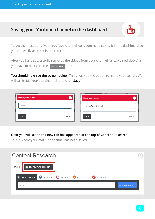## **Saving your YouTube channel in the dashboard**

To get the most out of your YouTube channel we recommend saving it in the dashboard so you can easily access it in the future.

After you have successfully retrieved the videos from your channel (as explained above) all you have to do it click the sAVE SEARCH button.

**You should now see the screen below.** This gives you the option to name your search. We will call it "My YouYube Channel" and click "**Save**".

| Name your search: | $\times$ | Name your search:  |        |
|-------------------|----------|--------------------|--------|
| Name              |          | My YouTube Channel |        |
| <b>SAVE</b>       | CANCEL   | <b>SAVE</b>        | CANCEL |

**Next you will see that a new tab has appeared at the top of Content Research.**

This is where your YouTube channel has been saved.

| Content Research                                                                       | ?                    |
|----------------------------------------------------------------------------------------|----------------------|
| MY YOUTUBE CHANNEL<br>SEARCH                                                           |                      |
| 8 <b>GOOGLE NEWS f</b> FACEBOOK <b>D</b> YOUTUBE <b>N</b> RSS/ALERTS <b>M</b> TRENDING |                      |
| Search                                                                                 | <b>SEARCH GOOGLE</b> |
|                                                                                        |                      |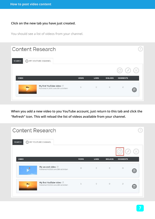#### **Click on the new tab you have just created.**

You should see a list of videos from your channel.

|              |              |                 | C               |   |
|--------------|--------------|-----------------|-----------------|---|
| <b>VIEWS</b> | <b>LIKES</b> | <b>DISLIKES</b> | <b>COMMENTS</b> |   |
| 5            | $\circ$      | $\circ$         | $\overline{2}$  | O |
|              |              |                 |                 |   |

**When you add a new video to you YouTube account, just return to this tab and click the "Refresh" icon. This will reload the list of videos available from your channel.**

| <b>Content Research</b>                                         |              |              |                 |                 |   |
|-----------------------------------------------------------------|--------------|--------------|-----------------|-----------------|---|
| MY YOUTUBE CHANNEL<br><b>SEARCH</b><br>$( \rightarrow 0$        |              |              |                 |                 |   |
|                                                                 |              |              |                 |                 |   |
| <b>VIDEO</b>                                                    | <b>VIEWS</b> | <b>LIKES</b> | <b>DISLIKES</b> | <b>COMMENTS</b> |   |
| My second video [3]<br>Published At 2016 June 28th at 8:43am    | $\circ$      | $\circ$      | $\circ$         | $\circ$         | O |
| My first YouTube video<br>Published At 2016 June 28th at 8:29am | 5            | $\circ$      | $\circ$         | $\overline{2}$  | E |